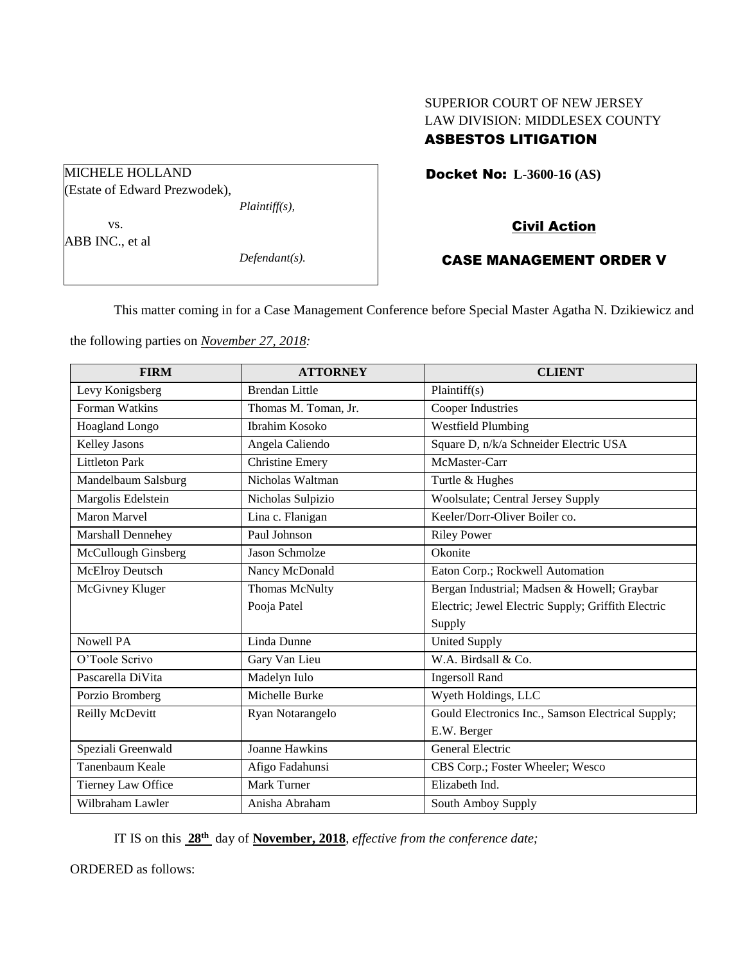# SUPERIOR COURT OF NEW JERSEY LAW DIVISION: MIDDLESEX COUNTY

## ASBESTOS LITIGATION

Docket No: **L-3600-16 (AS)** 

## Civil Action

## CASE MANAGEMENT ORDER V

This matter coming in for a Case Management Conference before Special Master Agatha N. Dzikiewicz and

the following parties on *November 27, 2018:*

MICHELE HOLLAND

vs. ABB INC., et al

| <b>FIRM</b>            | <b>ATTORNEY</b>        | <b>CLIENT</b>                                      |
|------------------------|------------------------|----------------------------------------------------|
| Levy Konigsberg        | <b>Brendan Little</b>  | Plaintiff(s)                                       |
| Forman Watkins         | Thomas M. Toman, Jr.   | Cooper Industries                                  |
| Hoagland Longo         | <b>Ibrahim Kosoko</b>  | <b>Westfield Plumbing</b>                          |
| Kelley Jasons          | Angela Caliendo        | Square D, n/k/a Schneider Electric USA             |
| <b>Littleton Park</b>  | <b>Christine Emery</b> | McMaster-Carr                                      |
| Mandelbaum Salsburg    | Nicholas Waltman       | Turtle & Hughes                                    |
| Margolis Edelstein     | Nicholas Sulpizio      | Woolsulate; Central Jersey Supply                  |
| <b>Maron Marvel</b>    | Lina c. Flanigan       | Keeler/Dorr-Oliver Boiler co.                      |
| Marshall Dennehey      | Paul Johnson           | <b>Riley Power</b>                                 |
| McCullough Ginsberg    | Jason Schmolze         | Okonite                                            |
| <b>McElroy Deutsch</b> | Nancy McDonald         | Eaton Corp.; Rockwell Automation                   |
| McGivney Kluger        | Thomas McNulty         | Bergan Industrial; Madsen & Howell; Graybar        |
|                        | Pooja Patel            | Electric; Jewel Electric Supply; Griffith Electric |
|                        |                        | Supply                                             |
| <b>Nowell PA</b>       | Linda Dunne            | <b>United Supply</b>                               |
| O'Toole Scrivo         | Gary Van Lieu          | W.A. Birdsall & Co.                                |
| Pascarella DiVita      | Madelyn Iulo           | <b>Ingersoll Rand</b>                              |
| Porzio Bromberg        | Michelle Burke         | Wyeth Holdings, LLC                                |
| Reilly McDevitt        | Ryan Notarangelo       | Gould Electronics Inc., Samson Electrical Supply;  |
|                        |                        | E.W. Berger                                        |
| Speziali Greenwald     | <b>Joanne Hawkins</b>  | General Electric                                   |
| Tanenbaum Keale        | Afigo Fadahunsi        | CBS Corp.; Foster Wheeler; Wesco                   |
| Tierney Law Office     | <b>Mark Turner</b>     | Elizabeth Ind.                                     |
| Wilbraham Lawler       | Anisha Abraham         | South Amboy Supply                                 |

IT IS on this  $28<sup>th</sup>$  day of **November, 2018**, *effective from the conference date*;

ORDERED as follows:

(Estate of Edward Prezwodek),

*Plaintiff(s),*

*Defendant(s).*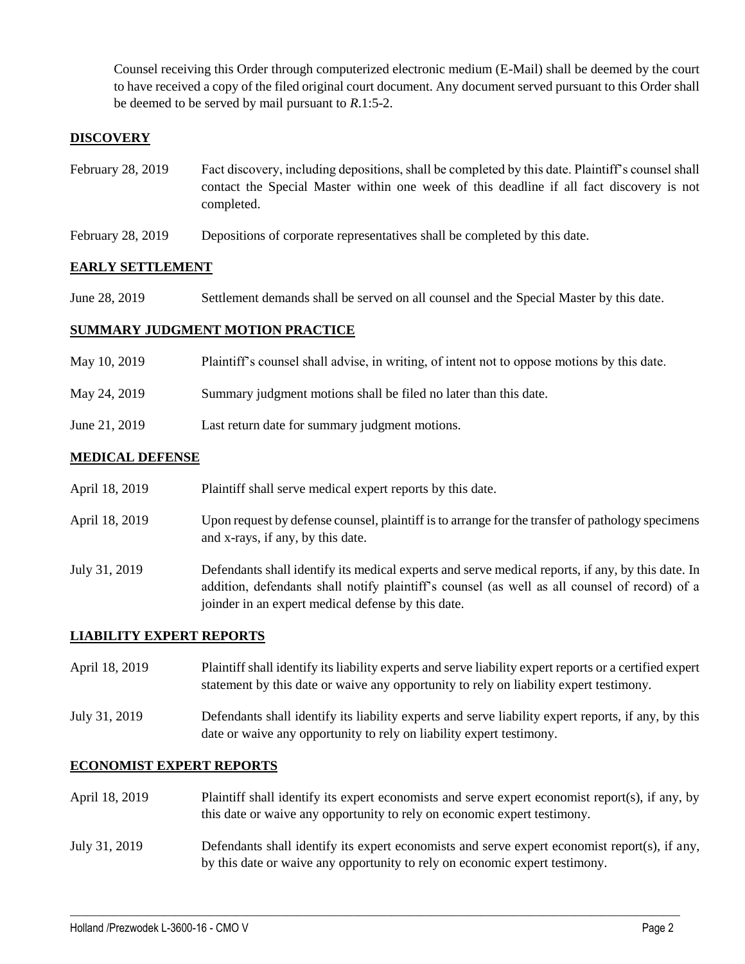Counsel receiving this Order through computerized electronic medium (E-Mail) shall be deemed by the court to have received a copy of the filed original court document. Any document served pursuant to this Order shall be deemed to be served by mail pursuant to *R*.1:5-2.

#### **DISCOVERY**

- February 28, 2019 Fact discovery, including depositions, shall be completed by this date. Plaintiff's counsel shall contact the Special Master within one week of this deadline if all fact discovery is not completed.
- February 28, 2019 Depositions of corporate representatives shall be completed by this date.

#### **EARLY SETTLEMENT**

June 28, 2019 Settlement demands shall be served on all counsel and the Special Master by this date.

#### **SUMMARY JUDGMENT MOTION PRACTICE**

| May 10, 2019  | Plaintiff's counsel shall advise, in writing, of intent not to oppose motions by this date. |
|---------------|---------------------------------------------------------------------------------------------|
| May 24, 2019  | Summary judgment motions shall be filed no later than this date.                            |
| June 21, 2019 | Last return date for summary judgment motions.                                              |

#### **MEDICAL DEFENSE**

|  | April 18, 2019 |  | Plaintiff shall serve medical expert reports by this date. |
|--|----------------|--|------------------------------------------------------------|
|--|----------------|--|------------------------------------------------------------|

- April 18, 2019 Upon request by defense counsel, plaintiff is to arrange for the transfer of pathology specimens and x-rays, if any, by this date.
- July 31, 2019 Defendants shall identify its medical experts and serve medical reports, if any, by this date. In addition, defendants shall notify plaintiff's counsel (as well as all counsel of record) of a joinder in an expert medical defense by this date.

#### **LIABILITY EXPERT REPORTS**

April 18, 2019 Plaintiff shall identify its liability experts and serve liability expert reports or a certified expert statement by this date or waive any opportunity to rely on liability expert testimony.

July 31, 2019 Defendants shall identify its liability experts and serve liability expert reports, if any, by this date or waive any opportunity to rely on liability expert testimony.

#### **ECONOMIST EXPERT REPORTS**

April 18, 2019 Plaintiff shall identify its expert economists and serve expert economist report(s), if any, by this date or waive any opportunity to rely on economic expert testimony.

#### July 31, 2019 Defendants shall identify its expert economists and serve expert economist report(s), if any, by this date or waive any opportunity to rely on economic expert testimony.

 $\_$  ,  $\_$  ,  $\_$  ,  $\_$  ,  $\_$  ,  $\_$  ,  $\_$  ,  $\_$  ,  $\_$  ,  $\_$  ,  $\_$  ,  $\_$  ,  $\_$  ,  $\_$  ,  $\_$  ,  $\_$  ,  $\_$  ,  $\_$  ,  $\_$  ,  $\_$  ,  $\_$  ,  $\_$  ,  $\_$  ,  $\_$  ,  $\_$  ,  $\_$  ,  $\_$  ,  $\_$  ,  $\_$  ,  $\_$  ,  $\_$  ,  $\_$  ,  $\_$  ,  $\_$  ,  $\_$  ,  $\_$  ,  $\_$  ,